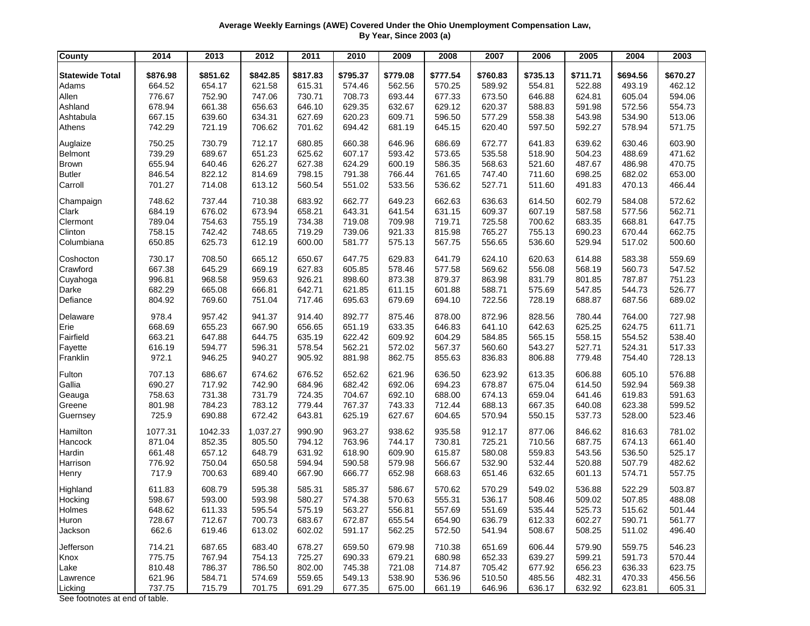## **Average Weekly Earnings (AWE) Covered Under the Ohio Unemployment Compensation Law, By Year, Since 2003 (a)**

| <b>County</b>          | 2014     | 2013     | 2012     | 2011     | 2010     | 2009     | 2008     | 2007     | 2006     | 2005     | 2004     | 2003     |
|------------------------|----------|----------|----------|----------|----------|----------|----------|----------|----------|----------|----------|----------|
| <b>Statewide Total</b> | \$876.98 | \$851.62 | \$842.85 | \$817.83 | \$795.37 | \$779.08 | \$777.54 | \$760.83 | \$735.13 | \$711.71 | \$694.56 | \$670.27 |
| Adams                  | 664.52   | 654.17   | 621.58   | 615.31   | 574.46   | 562.56   | 570.25   | 589.92   | 554.81   | 522.88   | 493.19   | 462.12   |
| Allen                  | 776.67   | 752.90   | 747.06   | 730.71   | 708.73   | 693.44   | 677.33   | 673.50   | 646.88   | 624.81   | 605.04   | 594.06   |
| Ashland                | 678.94   | 661.38   | 656.63   | 646.10   | 629.35   | 632.67   | 629.12   | 620.37   | 588.83   | 591.98   | 572.56   | 554.73   |
| Ashtabula              | 667.15   | 639.60   | 634.31   | 627.69   | 620.23   | 609.71   | 596.50   | 577.29   | 558.38   | 543.98   | 534.90   | 513.06   |
| Athens                 | 742.29   | 721.19   | 706.62   | 701.62   | 694.42   | 681.19   | 645.15   | 620.40   | 597.50   | 592.27   | 578.94   | 571.75   |
| Auglaize               | 750.25   | 730.79   | 712.17   | 680.85   | 660.38   | 646.96   | 686.69   | 672.77   | 641.83   | 639.62   | 630.46   | 603.90   |
| <b>Belmont</b>         | 739.29   | 689.67   | 651.23   | 625.62   | 607.17   | 593.42   | 573.65   | 535.58   | 518.90   | 504.23   | 488.69   | 471.62   |
| <b>Brown</b>           | 655.94   | 640.46   | 626.27   | 627.38   | 624.29   | 600.19   | 586.35   | 568.63   | 521.60   | 487.67   | 486.98   | 470.75   |
| <b>Butler</b>          | 846.54   | 822.12   | 814.69   | 798.15   | 791.38   | 766.44   | 761.65   | 747.40   | 711.60   | 698.25   | 682.02   | 653.00   |
| Carroll                | 701.27   | 714.08   | 613.12   | 560.54   | 551.02   | 533.56   | 536.62   | 527.71   | 511.60   | 491.83   | 470.13   | 466.44   |
| Champaign              | 748.62   | 737.44   | 710.38   | 683.92   | 662.77   | 649.23   | 662.63   | 636.63   | 614.50   | 602.79   | 584.08   | 572.62   |
| Clark                  | 684.19   | 676.02   | 673.94   | 658.21   | 643.31   | 641.54   | 631.15   | 609.37   | 607.19   | 587.58   | 577.56   | 562.71   |
| Clermont               | 789.04   | 754.63   | 755.19   | 734.38   | 719.08   | 709.98   | 719.71   | 725.58   | 700.62   | 683.35   | 668.81   | 647.75   |
| Clinton                | 758.15   | 742.42   | 748.65   | 719.29   | 739.06   | 921.33   | 815.98   | 765.27   | 755.13   | 690.23   | 670.44   | 662.75   |
| Columbiana             | 650.85   | 625.73   | 612.19   | 600.00   | 581.77   | 575.13   | 567.75   | 556.65   | 536.60   | 529.94   | 517.02   | 500.60   |
| Coshocton              | 730.17   | 708.50   | 665.12   | 650.67   | 647.75   | 629.83   | 641.79   | 624.10   | 620.63   | 614.88   | 583.38   | 559.69   |
| Crawford               | 667.38   | 645.29   | 669.19   | 627.83   | 605.85   | 578.46   | 577.58   | 569.62   | 556.08   | 568.19   | 560.73   | 547.52   |
| Cuyahoga               | 996.81   | 968.58   | 959.63   | 926.21   | 898.60   | 873.38   | 879.37   | 863.98   | 831.79   | 801.85   | 787.87   | 751.23   |
| Darke                  | 682.29   | 665.08   | 666.81   | 642.71   | 621.85   | 611.15   | 601.88   | 588.71   | 575.69   | 547.85   | 544.73   | 526.77   |
| Defiance               | 804.92   | 769.60   | 751.04   | 717.46   | 695.63   | 679.69   | 694.10   | 722.56   | 728.19   | 688.87   | 687.56   | 689.02   |
| Delaware               | 978.4    | 957.42   | 941.37   | 914.40   | 892.77   | 875.46   | 878.00   | 872.96   | 828.56   | 780.44   | 764.00   | 727.98   |
| Erie                   | 668.69   | 655.23   | 667.90   | 656.65   | 651.19   | 633.35   | 646.83   | 641.10   | 642.63   | 625.25   | 624.75   | 611.71   |
| Fairfield              | 663.21   | 647.88   | 644.75   | 635.19   | 622.42   | 609.92   | 604.29   | 584.85   | 565.15   | 558.15   | 554.52   | 538.40   |
| Fayette                | 616.19   | 594.77   | 596.31   | 578.54   | 562.21   | 572.02   | 567.37   | 560.60   | 543.27   | 527.71   | 524.31   | 517.33   |
| Franklin               | 972.1    | 946.25   | 940.27   | 905.92   | 881.98   | 862.75   | 855.63   | 836.83   | 806.88   | 779.48   | 754.40   | 728.13   |
| Fulton                 | 707.13   | 686.67   | 674.62   | 676.52   | 652.62   | 621.96   | 636.50   | 623.92   | 613.35   | 606.88   | 605.10   | 576.88   |
| Gallia                 | 690.27   | 717.92   | 742.90   | 684.96   | 682.42   | 692.06   | 694.23   | 678.87   | 675.04   | 614.50   | 592.94   | 569.38   |
| Geauga                 | 758.63   | 731.38   | 731.79   | 724.35   | 704.67   | 692.10   | 688.00   | 674.13   | 659.04   | 641.46   | 619.83   | 591.63   |
| Greene                 | 801.98   | 784.23   | 783.12   | 779.44   | 767.37   | 743.33   | 712.44   | 688.13   | 667.35   | 640.08   | 623.38   | 599.52   |
| Guernsey               | 725.9    | 690.88   | 672.42   | 643.81   | 625.19   | 627.67   | 604.65   | 570.94   | 550.15   | 537.73   | 528.00   | 523.46   |
| Hamilton               | 1077.31  | 1042.33  | 1,037.27 | 990.90   | 963.27   | 938.62   | 935.58   | 912.17   | 877.06   | 846.62   | 816.63   | 781.02   |
| Hancock                | 871.04   | 852.35   | 805.50   | 794.12   | 763.96   | 744.17   | 730.81   | 725.21   | 710.56   | 687.75   | 674.13   | 661.40   |
| Hardin                 | 661.48   | 657.12   | 648.79   | 631.92   | 618.90   | 609.90   | 615.87   | 580.08   | 559.83   | 543.56   | 536.50   | 525.17   |
| Harrison               | 776.92   | 750.04   | 650.58   | 594.94   | 590.58   | 579.98   | 566.67   | 532.90   | 532.44   | 520.88   | 507.79   | 482.62   |
| Henry                  | 717.9    | 700.63   | 689.40   | 667.90   | 666.77   | 652.98   | 668.63   | 651.46   | 632.65   | 601.13   | 574.71   | 557.75   |
| Highland               | 611.83   | 608.79   | 595.38   | 585.31   | 585.37   | 586.67   | 570.62   | 570.29   | 549.02   | 536.88   | 522.29   | 503.87   |
| Hocking                | 598.67   | 593.00   | 593.98   | 580.27   | 574.38   | 570.63   | 555.31   | 536.17   | 508.46   | 509.02   | 507.85   | 488.08   |
| Holmes                 | 648.62   | 611.33   | 595.54   | 575.19   | 563.27   | 556.81   | 557.69   | 551.69   | 535.44   | 525.73   | 515.62   | 501.44   |
| Huron                  | 728.67   | 712.67   | 700.73   | 683.67   | 672.87   | 655.54   | 654.90   | 636.79   | 612.33   | 602.27   | 590.71   | 561.77   |
| Jackson                | 662.6    | 619.46   | 613.02   | 602.02   | 591.17   | 562.25   | 572.50   | 541.94   | 508.67   | 508.25   | 511.02   | 496.40   |
| Jefferson              | 714.21   | 687.65   | 683.40   | 678.27   | 659.50   | 679.98   | 710.38   | 651.69   | 606.44   | 579.90   | 559.75   | 546.23   |
| Knox                   | 775.75   | 767.94   | 754.13   | 725.27   | 690.33   | 679.21   | 680.98   | 652.33   | 639.27   | 599.21   | 591.73   | 570.44   |
| Lake                   | 810.48   | 786.37   | 786.50   | 802.00   | 745.38   | 721.08   | 714.87   | 705.42   | 677.92   | 656.23   | 636.33   | 623.75   |
| Lawrence               | 621.96   | 584.71   | 574.69   | 559.65   | 549.13   | 538.90   | 536.96   | 510.50   | 485.56   | 482.31   | 470.33   | 456.56   |
| Licking                | 737.75   | 715.79   | 701.75   | 691.29   | 677.35   | 675.00   | 661.19   | 646.96   | 636.17   | 632.92   | 623.81   | 605.31   |

See footnotes at end of table.